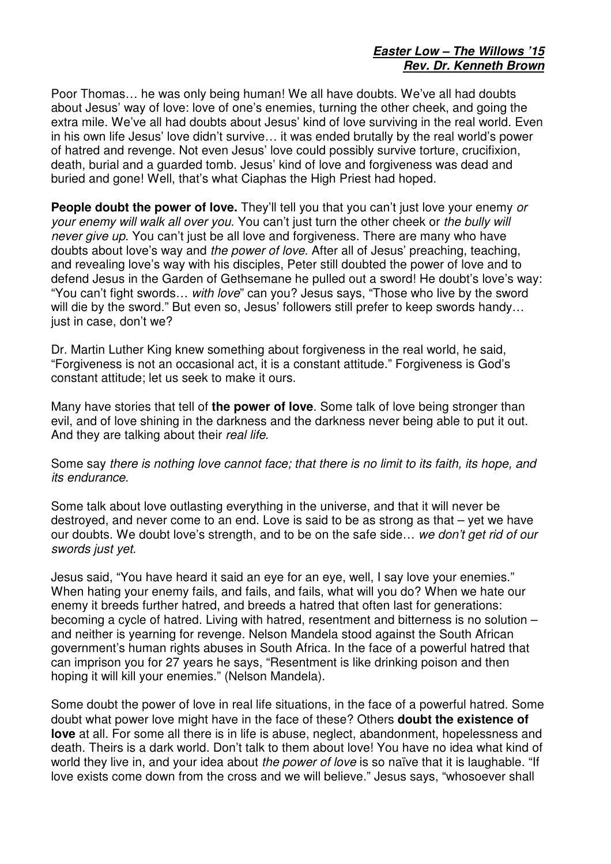## **Easter Low – The Willows '15 Rev. Dr. Kenneth Brown**

Poor Thomas… he was only being human! We all have doubts. We've all had doubts about Jesus' way of love: love of one's enemies, turning the other cheek, and going the extra mile. We've all had doubts about Jesus' kind of love surviving in the real world. Even in his own life Jesus' love didn't survive… it was ended brutally by the real world's power of hatred and revenge. Not even Jesus' love could possibly survive torture, crucifixion, death, burial and a guarded tomb. Jesus' kind of love and forgiveness was dead and buried and gone! Well, that's what Ciaphas the High Priest had hoped.

**People doubt the power of love.** They'll tell you that you can't just love your enemy or your enemy will walk all over you. You can't just turn the other cheek or the bully will never give up. You can't just be all love and forgiveness. There are many who have doubts about love's way and *the power of love*. After all of Jesus' preaching, teaching, and revealing love's way with his disciples, Peter still doubted the power of love and to defend Jesus in the Garden of Gethsemane he pulled out a sword! He doubt's love's way: "You can't fight swords... with love" can you? Jesus says, "Those who live by the sword will die by the sword." But even so, Jesus' followers still prefer to keep swords handy... just in case, don't we?

Dr. Martin Luther King knew something about forgiveness in the real world, he said, "Forgiveness is not an occasional act, it is a constant attitude." Forgiveness is God's constant attitude; let us seek to make it ours.

Many have stories that tell of **the power of love**. Some talk of love being stronger than evil, and of love shining in the darkness and the darkness never being able to put it out. And they are talking about their real life.

## Some say there is nothing love cannot face; that there is no limit to its faith, its hope, and its endurance.

Some talk about love outlasting everything in the universe, and that it will never be destroyed, and never come to an end. Love is said to be as strong as that – yet we have our doubts. We doubt love's strength, and to be on the safe side... we don't get rid of our swords just yet.

Jesus said, "You have heard it said an eye for an eye, well, I say love your enemies." When hating your enemy fails, and fails, and fails, what will you do? When we hate our enemy it breeds further hatred, and breeds a hatred that often last for generations: becoming a cycle of hatred. Living with hatred, resentment and bitterness is no solution – and neither is yearning for revenge. Nelson Mandela stood against the South African government's human rights abuses in South Africa. In the face of a powerful hatred that can imprison you for 27 years he says, "Resentment is like drinking poison and then hoping it will kill your enemies." (Nelson Mandela).

Some doubt the power of love in real life situations, in the face of a powerful hatred. Some doubt what power love might have in the face of these? Others **doubt the existence of love** at all. For some all there is in life is abuse, neglect, abandonment, hopelessness and death. Theirs is a dark world. Don't talk to them about love! You have no idea what kind of world they live in, and your idea about the power of love is so naïve that it is laughable. "If love exists come down from the cross and we will believe." Jesus says, "whosoever shall